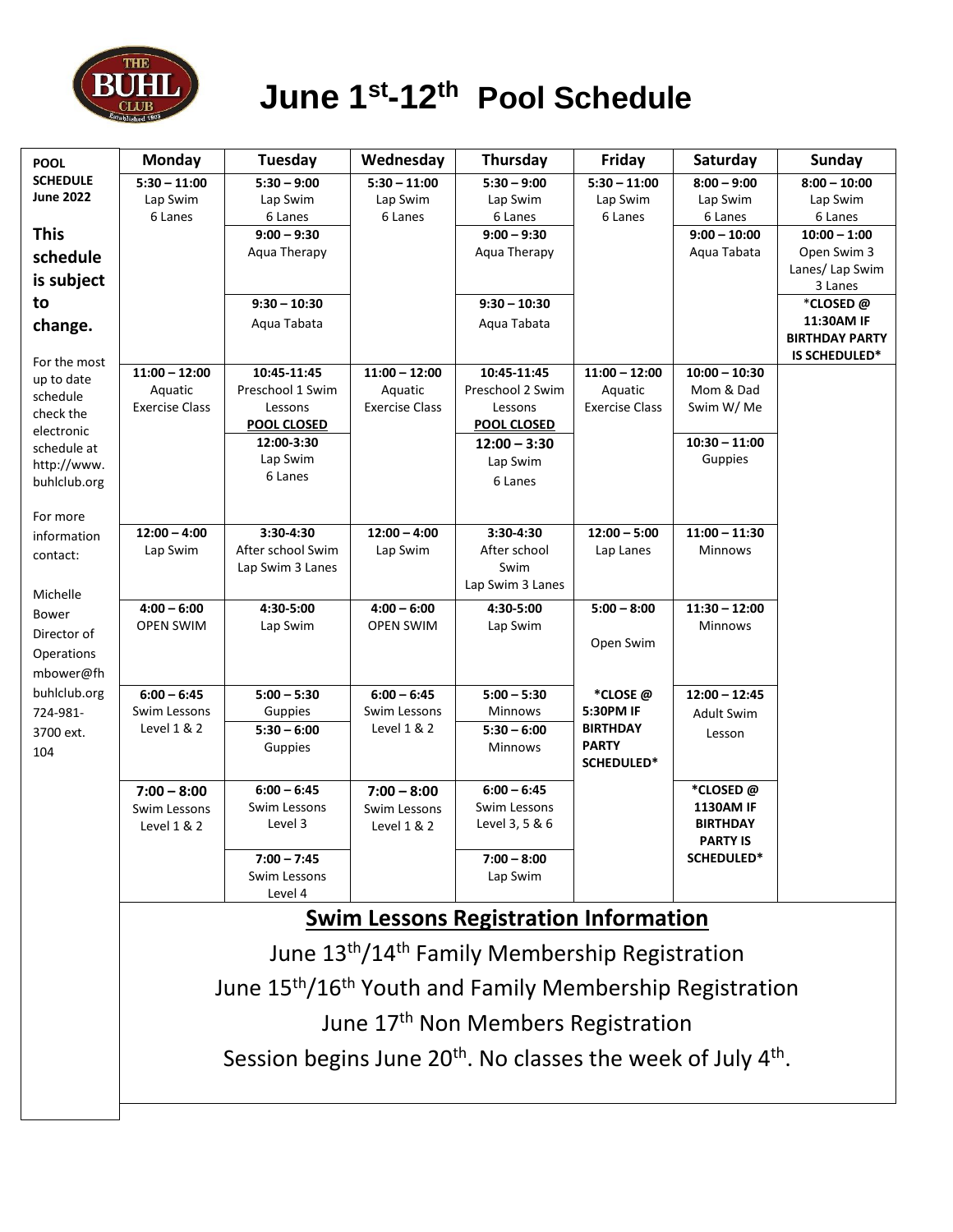

# **June 1st-12th Pool Schedule**

| <b>POOL</b>               | Monday                                                                               | Tuesday                                        | Wednesday                     | Thursday                        | Friday                      | Saturday                      | <b>Sunday</b>                  |  |
|---------------------------|--------------------------------------------------------------------------------------|------------------------------------------------|-------------------------------|---------------------------------|-----------------------------|-------------------------------|--------------------------------|--|
| <b>SCHEDULE</b>           | $5:30 - 11:00$                                                                       | $5:30 - 9:00$                                  | $5:30 - 11:00$                | $5:30 - 9:00$                   | $5:30 - 11:00$              | $8:00 - 9:00$                 | $8:00 - 10:00$                 |  |
| <b>June 2022</b>          | Lap Swim                                                                             | Lap Swim                                       | Lap Swim                      | Lap Swim                        | Lap Swim                    | Lap Swim                      | Lap Swim                       |  |
|                           | 6 Lanes                                                                              | 6 Lanes                                        | 6 Lanes                       | 6 Lanes                         | 6 Lanes                     | 6 Lanes                       | 6 Lanes                        |  |
| <b>This</b>               |                                                                                      | $9:00 - 9:30$                                  |                               | $9:00 - 9:30$                   |                             | $9:00 - 10:00$<br>Aqua Tabata | $10:00 - 1:00$                 |  |
| schedule                  |                                                                                      | Aqua Therapy                                   |                               | Aqua Therapy                    |                             |                               | Open Swim 3<br>Lanes/ Lap Swim |  |
| is subject                |                                                                                      |                                                |                               |                                 |                             |                               | 3 Lanes                        |  |
| to                        |                                                                                      | $9:30 - 10:30$                                 |                               | $9:30 - 10:30$                  |                             |                               | *CLOSED@                       |  |
| change.                   |                                                                                      | Agua Tabata                                    |                               | Aqua Tabata                     |                             |                               | 11:30AM IF                     |  |
|                           |                                                                                      |                                                |                               |                                 |                             |                               | <b>BIRTHDAY PARTY</b>          |  |
| For the most              |                                                                                      |                                                |                               |                                 |                             |                               | IS SCHEDULED*                  |  |
| up to date                | $11:00 - 12:00$<br>Aquatic                                                           | 10:45-11:45<br>Preschool 1 Swim                | $11:00 - 12:00$<br>Aquatic    | 10:45-11:45<br>Preschool 2 Swim | $11:00 - 12:00$<br>Aquatic  | $10:00 - 10:30$<br>Mom & Dad  |                                |  |
| schedule                  | <b>Exercise Class</b>                                                                | Lessons                                        | <b>Exercise Class</b>         | Lessons                         | <b>Exercise Class</b>       | Swim W/Me                     |                                |  |
| check the                 |                                                                                      | <b>POOL CLOSED</b>                             |                               | <b>POOL CLOSED</b>              |                             |                               |                                |  |
| electronic<br>schedule at |                                                                                      | 12:00-3:30                                     |                               | $12:00 - 3:30$                  |                             | $10:30 - 11:00$               |                                |  |
| http://www.               |                                                                                      | Lap Swim                                       |                               | Lap Swim                        |                             | Guppies                       |                                |  |
| buhlclub.org              |                                                                                      | 6 Lanes                                        |                               | 6 Lanes                         |                             |                               |                                |  |
|                           |                                                                                      |                                                |                               |                                 |                             |                               |                                |  |
| For more                  |                                                                                      |                                                |                               |                                 |                             |                               |                                |  |
| information               | $12:00 - 4:00$<br>Lap Swim                                                           | 3:30-4:30<br>After school Swim                 | $12:00 - 4:00$<br>Lap Swim    | 3:30-4:30<br>After school       | $12:00 - 5:00$<br>Lap Lanes | $11:00 - 11:30$<br>Minnows    |                                |  |
| contact:                  |                                                                                      | Lap Swim 3 Lanes                               |                               | Swim                            |                             |                               |                                |  |
|                           |                                                                                      |                                                |                               | Lap Swim 3 Lanes                |                             |                               |                                |  |
| Michelle                  | $4:00 - 6:00$                                                                        | 4:30-5:00                                      | $4:00 - 6:00$                 | 4:30-5:00                       | $5:00 - 8:00$               | $11:30 - 12:00$               |                                |  |
| <b>Bower</b>              | <b>OPEN SWIM</b>                                                                     | Lap Swim                                       | <b>OPEN SWIM</b>              | Lap Swim                        |                             | <b>Minnows</b>                |                                |  |
| Director of               |                                                                                      |                                                |                               |                                 | Open Swim                   |                               |                                |  |
| Operations                |                                                                                      |                                                |                               |                                 |                             |                               |                                |  |
| mbower@fh                 |                                                                                      |                                                |                               |                                 |                             |                               |                                |  |
| buhlclub.org              | $6:00 - 6:45$<br>Swim Lessons                                                        | $5:00 - 5:30$                                  | $6:00 - 6:45$<br>Swim Lessons | $5:00 - 5:30$<br><b>Minnows</b> | *CLOSE @<br>5:30PM IF       | $12:00 - 12:45$               |                                |  |
| 724-981-                  | Level $1 & 2$                                                                        | Guppies<br>$5:30 - 6:00$                       | Level 1 & 2                   | $5:30 - 6:00$                   | <b>BIRTHDAY</b>             | <b>Adult Swim</b>             |                                |  |
| 3700 ext.<br>104          |                                                                                      | Guppies                                        |                               | Minnows                         | <b>PARTY</b>                | Lesson                        |                                |  |
|                           |                                                                                      |                                                |                               |                                 | SCHEDULED*                  |                               |                                |  |
|                           | $7:00 - 8:00$                                                                        | $6:00 - 6:45$                                  | $7:00 - 8:00$                 | $6:00 - 6:45$                   |                             | *CLOSED@                      |                                |  |
|                           | Swim Lessons                                                                         | Swim Lessons                                   | Swim Lessons                  | Swim Lessons                    |                             | <b>1130AM IF</b>              |                                |  |
|                           | Level $1 & 2$                                                                        | Level 3                                        | Level $1 & 2$                 | Level 3, 5 & 6                  |                             | <b>BIRTHDAY</b>               |                                |  |
|                           |                                                                                      |                                                |                               |                                 |                             | <b>PARTY IS</b>               |                                |  |
|                           |                                                                                      | $7:00 - 7:45$                                  |                               | $7:00 - 8:00$                   |                             | SCHEDULED*                    |                                |  |
|                           |                                                                                      | Swim Lessons                                   |                               | Lap Swim                        |                             |                               |                                |  |
|                           |                                                                                      | Level 4                                        |                               |                                 |                             |                               |                                |  |
|                           | <b>Swim Lessons Registration Information</b>                                         |                                                |                               |                                 |                             |                               |                                |  |
|                           | June 13 <sup>th</sup> /14 <sup>th</sup> Family Membership Registration               |                                                |                               |                                 |                             |                               |                                |  |
|                           |                                                                                      |                                                |                               |                                 |                             |                               |                                |  |
|                           | June 15 <sup>th</sup> /16 <sup>th</sup> Youth and Family Membership Registration     |                                                |                               |                                 |                             |                               |                                |  |
|                           |                                                                                      | June 17 <sup>th</sup> Non Members Registration |                               |                                 |                             |                               |                                |  |
|                           | Session begins June 20 <sup>th</sup> . No classes the week of July 4 <sup>th</sup> . |                                                |                               |                                 |                             |                               |                                |  |
|                           |                                                                                      |                                                |                               |                                 |                             |                               |                                |  |
|                           |                                                                                      |                                                |                               |                                 |                             |                               |                                |  |